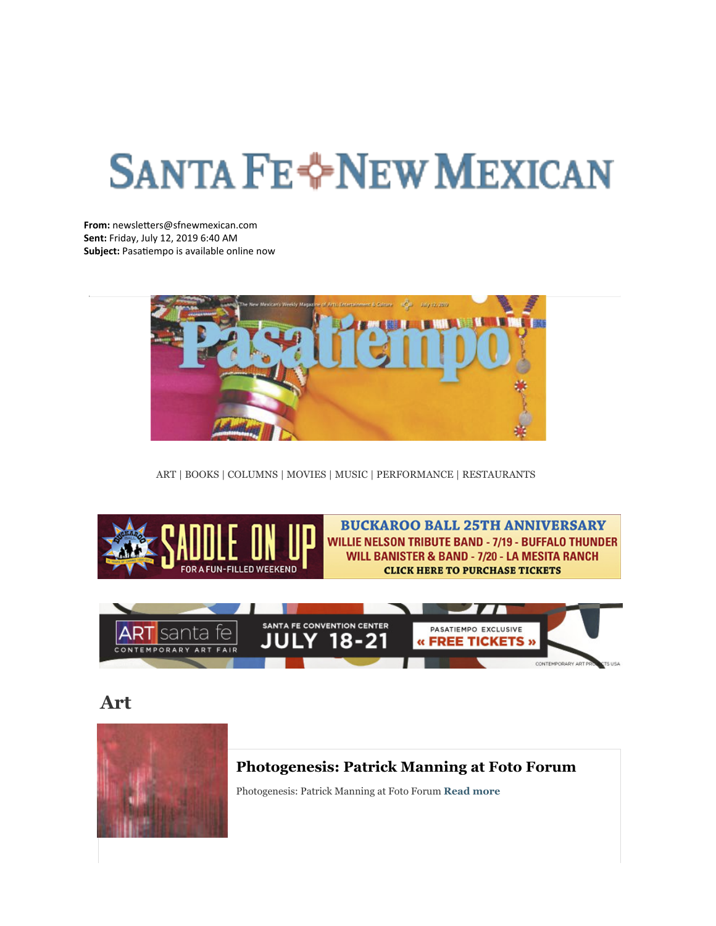# **SANTA FE-PNEW MEXICAN**

**From:** newsletters@sfnewmexican.com **Sent:** Friday, July 12, 2019 6:40 AM **Subject:** Pasatiempo is available online now



[ART | BOOKS | COLUMNS | MOVIES | MUSIC | PERFORMANCE | RESTAURANTS](http://r20.rs6.net/tn.jsp?f=001GJv4E6tBnzGN5UriJV8z669-h42shCqALWMeRJduOwP2PYWAh1FsX584QN6H-i3jiqAxotPrSJEZ9pYErcVBClJIaiDRikXLXRCrFKlbakYBc9nn_IZ2smjhAf3XpOnsC5h6AV74X39dr1o2iKPtI8ByNc6pkpnBJQH1WPPXIsz1rdwKWCQisFPKen-YuH3nGfwFaoTRxdk=&c=GrLlKB1w0-azxI4yuTxAgV8hytg8mpqPauBQz7eIcpoe6SgiuGfOOA==&ch=e-prDAFtLTJTSygTvHAGLEMzW4vbiiiqcMnvqMzHAT7qzvxyqGQHtg==)



**BUCKAROO BALL 25TH ANNIVERSARY WILLIE NELSON TRIBUTE BAND - 7/19 - BUFFALO THUNDER** WILL BANISTER & BAND - 7/20 - LA MESITA RANCH **CLICK HERE TO PURCHASE TICKETS** 



**[Art](http://r20.rs6.net/tn.jsp?f=001GJv4E6tBnzGN5UriJV8z669-h42shCqALWMeRJduOwP2PYWAh1FsXwOXv0GhPKcLr8rmYxn_jgGfow1QfmD6aiafMn74EFJKsxnID1gkxIGwXmx47UYNRH9aS-tG93sDijCe9Hn8Cb3LJD8bbK1Rfp08qfjWUQixQ-oGisVqZhxKerI1L6WmRhFfnXd4pDlHLIWEO1fijHfav0vG_sYBIIGcx4EJqd3M0-1_bIvNeu7fIt1SeAipfvCvNgsawfcGBScpz81swz1HzOButaLGTKWW34tYt4JyajB-StloxzMfHZzuqQQahg==&c=GrLlKB1w0-azxI4yuTxAgV8hytg8mpqPauBQz7eIcpoe6SgiuGfOOA==&ch=e-prDAFtLTJTSygTvHAGLEMzW4vbiiiqcMnvqMzHAT7qzvxyqGQHtg==)**



#### **[Photogenesis: Patrick Manning at Foto Forum](http://r20.rs6.net/tn.jsp?f=001GJv4E6tBnzGN5UriJV8z669-h42shCqALWMeRJduOwP2PYWAh1FsXwOXv0GhPKcL4wjXKVPbqo5fq8ehss9EYU9zRRvs6w7kE7T_jCnWCnbuZlwwMI-3q-I7txcTJDDpPhRxuUKDXnGuqI0XhZbs63tDOtq_HcHrTXvyLYOqTZ_mB104ClhQRAC4TPSXUxTkzspEbx72gNwaReaI-Cbs_h-f1os7traxV_xdmk_baD8obUF9Iab_wtVlVPZWB_ivHRvYn6BRl8s31iqZNGGvFAW8yXD_txXvfkSoIWPUWsyqCntj0XVRd9ALDO3sSUKTDhDx0M-4jYco4RRj675rs7zDwDs94MsVFHcMqw7CXfu2opMTGMv1QUfViusmmcQSZlJNKpOcjbdeaKu5bbkgQHwIKv8Qg12ExR_RzEEi4aGKY26xndi5VxaQaL3iFDKbg_6Qi9v4Y5lH8ah9DurgNflXKnScmD8ZsptKwH3zWSJxUsBdoJ8hzeLQuxOS6s0Rtnak-txRL2-PE0g5asgZYoZVnOofcsJn5_bkkg3yoPpEtEeyBNaPMg==&c=GrLlKB1w0-azxI4yuTxAgV8hytg8mpqPauBQz7eIcpoe6SgiuGfOOA==&ch=e-prDAFtLTJTSygTvHAGLEMzW4vbiiiqcMnvqMzHAT7qzvxyqGQHtg==)**

Photogenesis: Patrick Manning at Foto Forum **[Read more](http://r20.rs6.net/tn.jsp?f=001GJv4E6tBnzGN5UriJV8z669-h42shCqALWMeRJduOwP2PYWAh1FsXwOXv0GhPKcLjGyRFVR0kcKpFJXCbh9sU1EdaIypNBkB4C5DwkgyjsHTJOyS3FZr1kdxtSlkunnIQ6RaabLLINY9-eCqabIQ6t3eiagrubDncdGzt5Mwu49Pgkr3CGcs1ryp2b466Tbf8PrLCDwf8cz0HqhrL2JR1BugC6oiAuvhRuRPyoriBMSeaOO5yTArm6Bpve_L7LeWcKHlSaB9lpUl2AuVm8QLbvfIE_TB_Gd99cHxiBzmJj3j9smEM7zP7wbfYTBmtT02FdckIt0LY08OrvneUf4zWHuOpScNb26_E9j8ba6tofe9IhVsMp0wb8M43lF38En3VRjgaww96k9tEpF7gM-bfRTfC1LAo6GpgpYcPIFNxOoTXp5v49Skxe1iz1Ap5xxFQjOIhb7QhD0vQeJ-A8g8pdugSu5x9Uh8HhrgkuLfbpl3WrZObxj8tsZAlsPYTFzf6Y1FsJBIepzUqKOiBsx5_GLg0v2ddcHcxbEqNqJr_fHgl6L_y54Bzw==&c=GrLlKB1w0-azxI4yuTxAgV8hytg8mpqPauBQz7eIcpoe6SgiuGfOOA==&ch=e-prDAFtLTJTSygTvHAGLEMzW4vbiiiqcMnvqMzHAT7qzvxyqGQHtg==)**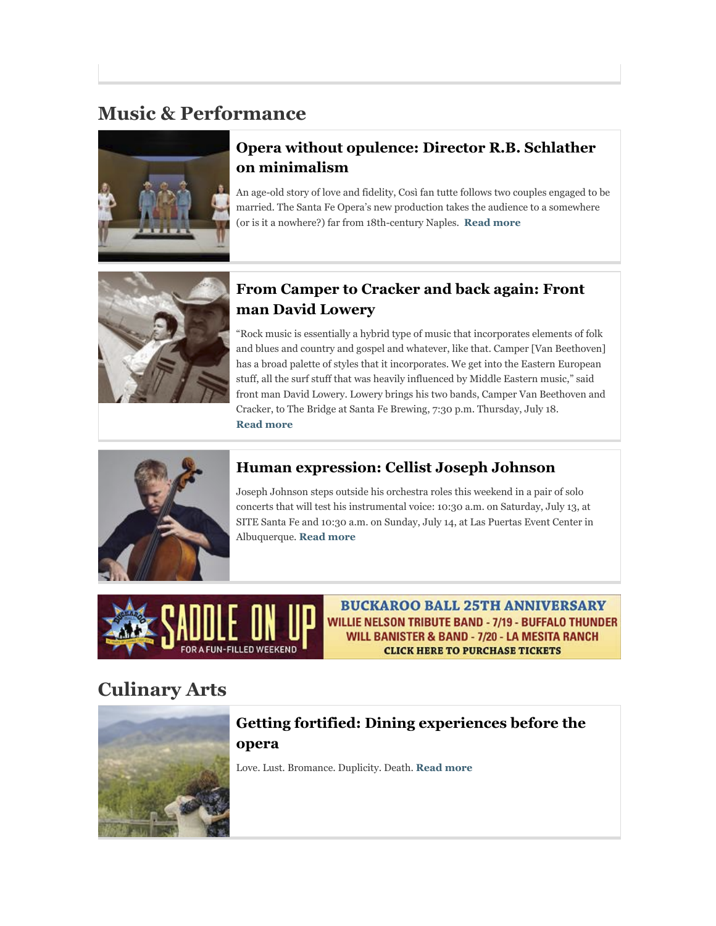# **Music & Performance**



## **[Opera without opulence: Director R.B. Schlather](http://r20.rs6.net/tn.jsp?f=001GJv4E6tBnzGN5UriJV8z669-h42shCqALWMeRJduOwP2PYWAh1FsXwOXv0GhPKcLDArSBZIaaWV17CDnAq_ncZNOnO55jBQRcaWN6gxwagt6rDEb7D_Yc1_Ul7ibbFz9j-Fyxicjt3Y_VJLjyxq2pU2JEIqjbj31xZY1y3ZDZ1QOIHgnY_v_N_RelhWgefgHFvquBPbSZKCl2baUJZHMDhvH7iitqE2le99yQUQ6Bn8rugKUa-XGsr14pmJUv7Owbek8nGSkOAz5n-Bc7FCMp9aPCpPeeYAH2r4dDTgYi4OMaV5L4wvRDyudVgYsQsGriKIG4cVzQ7KVZnozD8xB3jJxcxbAZ7qsMAUwuC_8EdHVqqbkHqZOzXVQjk9UFEkFPT_dsE2NzfBsfOQDCWTKDtPiDRLOi6wBeoSVx1lRd-9peJC0I4TNldtLf-qnSR5w9TpY2ezkqtEIQRl9jCo-dath_jwctdnEG4MFrfZm6Vo-90nuzLn3lgWaG9-09gg8fY6Cq6lwl5FWlYE7VIx01y8Fs9ru53O6ah-zJVXL-jfxBbz3_QsVsiuh1_Igr-LPWz4jYL43UX7yM5OgJE9PtQ==&c=GrLlKB1w0-azxI4yuTxAgV8hytg8mpqPauBQz7eIcpoe6SgiuGfOOA==&ch=e-prDAFtLTJTSygTvHAGLEMzW4vbiiiqcMnvqMzHAT7qzvxyqGQHtg==) on minimalism**

An age-old story of love and fidelity, Così fan tutte follows two couples engaged to be married. The Santa Fe Opera's new production takes the audience to a somewhere (or is it a nowhere?) far from 18th-century Naples. **[Read more](http://r20.rs6.net/tn.jsp?f=001GJv4E6tBnzGN5UriJV8z669-h42shCqALWMeRJduOwP2PYWAh1FsXwOXv0GhPKcLhjA9z7ZMTfi9DfhvYusSRiTIWO25eE4jEd-kic0u1onhxBLoJfzZz4eo47yb3pNuMgrRadEnqDGgGbSEv5fKoo3Qmu68Kp729wz1F6qd5eI5bbK69JOVkCzmuttkgqj1Bb276VuSJY_0x7WywTkTwEZOpERrp-kAm0PpKRDS-ue8wn6xy5gCZsrHSjWLCavzn654h3aO2mdeauF1Gb3-nZRsw0NgqaynR50aCLjg6bTcRXqH8q_dvoN3hypNbuyb_130EDDhWmMckc6AjyDa6ZasTrLqqoZ6AJg-ujESkeupmDsyeLODJ63lk614LHklv5X_gAQEk1MfWw9Dzg0cNi4pbNzrVzFrWX9CnTxAY7C7pJfSUC_93z4YVtLJxxT_6IS_-UQGR81w6-ECnCC8StZSLg7Q3fa8m6a3OCe9JtPt0nVGa_pS7PLBYuB2aWBapj1nWL2ctlNzv-v_CMKV-7L5Mu_C9t4B0PgGTNjaLhCGvuHxbKW1tf6me9GzYd1WYUwasLF54Hb3z8jVVJpS2w==&c=GrLlKB1w0-azxI4yuTxAgV8hytg8mpqPauBQz7eIcpoe6SgiuGfOOA==&ch=e-prDAFtLTJTSygTvHAGLEMzW4vbiiiqcMnvqMzHAT7qzvxyqGQHtg==)**



### **[From Camper to Cracker and back again: Front](http://r20.rs6.net/tn.jsp?f=001GJv4E6tBnzGN5UriJV8z669-h42shCqALWMeRJduOwP2PYWAh1FsXwOXv0GhPKcL4nstJNnkvSkMIKR4JIm7KwxHgJ4Axty-xFSbF43Eq3OrX8Klf84X7SKEzgbbRjBt4X6D76GLc9SL9Y_UxN7HbHTsY-KwoP1buEW6SNAod1-fBaOuUxkIQTP_lABEVAx9kRg5HLmvhEsOjePv21mHaLqT4xQOJMii4LuOwSoyI8DnjGCx0nDg5T2-uLbTS1LbRFC20hpvpxA4HkuMQVKSC3tRlFfRXH4WmStEthQW5ROuffFxyf5h8SlpRrQv7Bs5P3Oag0_CJzAQG160nr8xFpJBqNZ3gRDYADQ_ymO-zQNdkZc7TUHSV6BdKnJNtklOxmsGnzPHUh0QOOcFO4m98rzBQ0JvvozjM8IPdWmmO_1h1RAzRhTrFYg2PpR5akrYGbS5ooa6eyZ5ZKKtBsDzLQyLQ6bz1Tf-YqLqfKcfuIyEriBfQVMs9lwqXCr2DgVPgcu5JwHXi5QIdBNx5OCYObq9LePLglT4kGcSZQFWoTMn8cHMdQZUt2Pwd8Lx_Od5&c=GrLlKB1w0-azxI4yuTxAgV8hytg8mpqPauBQz7eIcpoe6SgiuGfOOA==&ch=e-prDAFtLTJTSygTvHAGLEMzW4vbiiiqcMnvqMzHAT7qzvxyqGQHtg==) man David Lowery**

"Rock music is essentially a hybrid type of music that incorporates elements of folk and blues and country and gospel and whatever, like that. Camper [Van Beethoven] has a broad palette of styles that it incorporates. We get into the Eastern European stuff, all the surf stuff that was heavily influenced by Middle Eastern music," said front man David Lowery. Lowery brings his two bands, Camper Van Beethoven and Cracker, to The Bridge at Santa Fe Brewing, 7:30 p.m. Thursday, July 18. **[Read more](http://r20.rs6.net/tn.jsp?f=001GJv4E6tBnzGN5UriJV8z669-h42shCqALWMeRJduOwP2PYWAh1FsXwOXv0GhPKcL-Jah32F_fM5EQ3nWKnmqvEbS8hVlAU5rfgC8WRwFki64Vf1ndHrgA84ct7e9Vi7MnTsoIbY5CZE8dobmYEK9PERwhj_sWKN6-AmLmsAbK8KzZ2MWhLIj864K7NPtjV_CTrNhdSQU7Uevb2N2uKVkMA0WMYkPJu82G1QSabqjqJqJvQjAneaVb1fY4MLlC6FU9CgOwtlWxDd4LlmOcT1k-lAQxpLxgZdaHZZ4Ai9HMyXtAo5pwcpaTZ7FgthVQnBWovcV9kG9uPh0w2vSG7psOX78lFFHPPX4f42TTvmxZG6UgSwSL3CAumSUAEjV5ry-2r-GkXwiafTlMDvLUGv1zHOMRHSjSxUU-PV8Pt-fb6dQeLZgxGn0ICCvnYpqup2y98_EOkgM4TIGoYsnOiwmUSAVSJqKJIk6tQ4dVn9mq4LPDsPlYuor_DfFkvquU9JNkis7Vr_NOTVBYXQVQzlfaUrdDgPB7khD93djOkg9HMa4ixZxiYkeu70p7N9vdjoKILB0aiZaQME=&c=GrLlKB1w0-azxI4yuTxAgV8hytg8mpqPauBQz7eIcpoe6SgiuGfOOA==&ch=e-prDAFtLTJTSygTvHAGLEMzW4vbiiiqcMnvqMzHAT7qzvxyqGQHtg==)**



## **[Human expression: Cellist Joseph Johnson](http://r20.rs6.net/tn.jsp?f=001GJv4E6tBnzGN5UriJV8z669-h42shCqALWMeRJduOwP2PYWAh1FsXwOXv0GhPKcL47NoTr12H9-LGR-InnB7VkBgmv5dSRA-hOj9fNP_xFagQWp5gyCoUYvxostRaw4ts24MMVNF7qKn_CNAG0c-Vg7ET_Q-UC28_t3OHo1UcWeFoE015C_Yq8bvQNY3DA3_oLMpyI5NkZoOIDe7qApNdz4zfO8oMeuAzyJ-4tUusQ4neNsRwDK7_rAjuTzwx1m6LxPxegeJsfaCnT4FThHJKJFlbhXrrCaX0_lQP6S-58FKN7va8QQlKimrdz_abRWMgpFWTnls7osqGIQlwsmc1JkHAw00U6nfHHxBkmS7aDiXo1-i4NFxsr82FaJhgsYrfGpPT6ElDvA6H4z-Uv-QZ6oZmtMBMiQeYNvtHslk_YDf5Ek-zYORaWf-p5UMHi-hmvBQMyXk-rIWvWi4Y8the5LvwW7Ddus0RnUHUKrlsbYRufcB0QYLRbBZ3i0gJF6AUwzBBNSwDFEKcVx-6TY7Ae9WeA9WPkjHy9WUNE9l7Yo6mLeix09j22FS4I6oHtfq&c=GrLlKB1w0-azxI4yuTxAgV8hytg8mpqPauBQz7eIcpoe6SgiuGfOOA==&ch=e-prDAFtLTJTSygTvHAGLEMzW4vbiiiqcMnvqMzHAT7qzvxyqGQHtg==)**

Joseph Johnson steps outside his orchestra roles this weekend in a pair of solo concerts that will test his instrumental voice: 10:30 a.m. on Saturday, July 13, at SITE Santa Fe and 10:30 a.m. on Sunday, July 14, at Las Puertas Event Center in Albuquerque. **[Read more](http://r20.rs6.net/tn.jsp?f=001GJv4E6tBnzGN5UriJV8z669-h42shCqALWMeRJduOwP2PYWAh1FsXwOXv0GhPKcL6mcUUiHtmzwx0K4ZXYTMJvvMx-CroHmQOvKS9qCnVAGAw4YRbYvUrbBsghC_OaSvoOjp1S42D1sdLRTsxVjeFAx8oeJj8BDN-9L1Lyr_C4NaN0Z0Bd6gNbZg2O_Qi26J28jGtXgovelGCn2AqthwTYWhMDMefDUd3mdmMvzFUOpSwz9ZCKa5q6MlYpyl67GplLSjfunljbms8mjqvCCOrLyfP0J1LvtmPshb82CA6n5NV_5Z7TtHTfHGsFrccOVQO1HlKqaFHxAs_eRGLCZY_7Z77RwbcUb90UEZMcZmHoFJJApOjaqFoZbJrdPl-UvlA7uF6zhjJhESXfFV4l3qd_Ij7MGdNx53JTw1wuQjrwnTd0uBLOHsWywPxNE4hIoFu84g_FgSS2ktMTswCworFfVU_j08YJhNcU-BjQ8xTkQybindwRAstSSfCYhgfHuG1fZmi03PwBXZjyUYQp_rEcPWGoF8JE0HdwzzBzQANs4A5lW8d4XGl_pnSbRWX4D6Mnx5eUHvEqo=&c=GrLlKB1w0-azxI4yuTxAgV8hytg8mpqPauBQz7eIcpoe6SgiuGfOOA==&ch=e-prDAFtLTJTSygTvHAGLEMzW4vbiiiqcMnvqMzHAT7qzvxyqGQHtg==)**



**BUCKAROO BALL 25TH ANNIVERSARY** WILLIE NELSON TRIBUTE BAND - 7/19 - BUFFALO THUNDER **WILL BANISTER & BAND - 7/20 - LA MESITA RANCH CLICK HERE TO PURCHASE TICKETS** 

# **Culinary Arts**



## **[Getting fortified: Dining experiences before the](http://r20.rs6.net/tn.jsp?f=001GJv4E6tBnzGN5UriJV8z669-h42shCqALWMeRJduOwP2PYWAh1FsXwOXv0GhPKcLJ7FL2V162ma2jQZgKwtk23lajTS0EbVSxKOoLhSqY5HjM3ycedr7tIqR2Gq2yH5Hb7wN9aiNQvBg48qlwknzdCjWivWeQ391fjqR5i8ubfBhtX3KJAb7WWFkuQAVIjQ-CTxwgzZrkZ-PiQtbF_mlOPxhWcIbtm1l_QkkQdaWQZKBrojbA-Hu7eosOnsUR4lLhcAGxWwyV-JKLoVT2-j3dch2Mlrbd-KsguxOH8XEDnNacH5FXi2NJ_PClw5VBJJWZTd7Sq2gt2aZ3-N0rdWtkLhuW9A_FDRhtLawC5qwskB7bdizz__SG_SYoC07Cg2jaQMbPmwd_JUYKTRY_vc41VEhde4qoV3UWJC0iKO5pKh3NWOVQxeEdejRI7BtTriHjQlCZztAbJ7WD863-xj1poOZ_8X_rsCqqxIg27P3g5FcQHzCfGBxj3xoQ10bioRBBORFcKAnN8zkEZXJqa-Pua_mv2dnx0t3hRzDePfZHdXIdWhVaR7vvr9rWiYjg7MNKNL3K1SLL5s=&c=GrLlKB1w0-azxI4yuTxAgV8hytg8mpqPauBQz7eIcpoe6SgiuGfOOA==&ch=e-prDAFtLTJTSygTvHAGLEMzW4vbiiiqcMnvqMzHAT7qzvxyqGQHtg==) opera**

Love. Lust. Bromance. Duplicity. Death. **[Read more](http://r20.rs6.net/tn.jsp?f=001GJv4E6tBnzGN5UriJV8z669-h42shCqALWMeRJduOwP2PYWAh1FsXwOXv0GhPKcLRkpV5_yShc1ryoMUHgJXvMmp1HZrgQI06OIdsUHOLp2kXQwexLNH79xeETjWcn4axK9GjUg6cr754U3zrMQcj8ltJ1N3ebC7Wg1erg_KdK_ZDp0Tf06xPbjY0Pp7W924hgfB0LxiHamFI7mBpVlP1Ik5l5QzZicgYijbn7FhiIsmGT688VS4U9t5hDMEv3XtRtIGlZRSmlcRX0HJZ2-kiODJWhMfCQW_7RCXTvnAD-othBkZm0iKxoCcZuellP6Wk6n-_5vfEm7YDFiR68sp75r4HqN_sYA1CF4Eb7GTGDWnxWC1r_BjaTYB6tefcwv0vqv2Y3aDzfy51oePQOxAMqczhn0aOi14EDwfPXuW4diwrA1oZwRcBEH2CjfmQdDWxpdHHqO3yG3B5fOwLnGWb78qLSglg8vdDK_7MpWpW5K7SaieeilQYHQvkWi9z-VKGAa5eN8zAEMIO6yZ9DsDYT54SWRck17WQJYjS8UJePVR2Fslzj--3vsRdFoX1yXvZAERodegleyygFZyJTmbvQ==&c=GrLlKB1w0-azxI4yuTxAgV8hytg8mpqPauBQz7eIcpoe6SgiuGfOOA==&ch=e-prDAFtLTJTSygTvHAGLEMzW4vbiiiqcMnvqMzHAT7qzvxyqGQHtg==)**